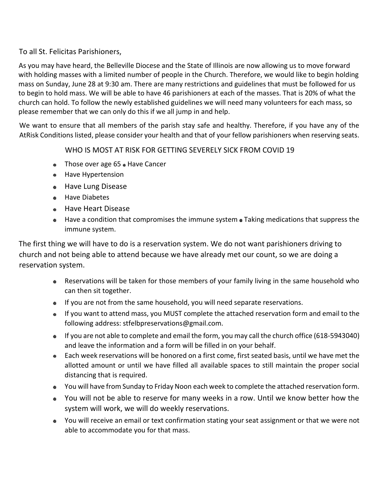## To all St. Felicitas Parishioners,

As you may have heard, the Belleville Diocese and the State of Illinois are now allowing us to move forward with holding masses with a limited number of people in the Church. Therefore, we would like to begin holding mass on Sunday, June 28 at 9:30 am. There are many restrictions and guidelines that must be followed for us to begin to hold mass. We will be able to have 46 parishioners at each of the masses. That is 20% of what the church can hold. To follow the newly established guidelines we will need many volunteers for each mass, so please remember that we can only do this if we all jump in and help.

We want to ensure that all members of the parish stay safe and healthy. Therefore, if you have any of the AtRisk Conditions listed, please consider your health and that of your fellow parishioners when reserving seats.

WHO IS MOST AT RISK FOR GETTING SEVERELY SICK FROM COVID 19

- $\bullet$  Those over age 65  $\bullet$  Have Cancer
- Have Hypertension
- Have Lung Disease
- **e** Have Diabetes
- **Have Heart Disease**
- $\bullet$  Have a condition that compromises the immune system  $\bullet$  Taking medications that suppress the immune system.

The first thing we will have to do is a reservation system. We do not want parishioners driving to church and not being able to attend because we have already met our count, so we are doing a reservation system.

- Reservations will be taken for those members of your family living in the same household who can then sit together.
- If you are not from the same household, you will need separate reservations.
- If you want to attend mass, you MUST complete the attached reservation form and email to the following address: stfelbpreservations@gmail.com.
- If you are not able to complete and email the form, you may call the church office (618-5943040) and leave the information and a form will be filled in on your behalf.
- Each week reservations will be honored on a first come, first seated basis, until we have met the allotted amount or until we have filled all available spaces to still maintain the proper social distancing that is required.
- You will have from Sunday to Friday Noon each week to complete the attached reservation form.
- You will not be able to reserve for many weeks in a row. Until we know better how the system will work, we will do weekly reservations.
- You will receive an email or text confirmation stating your seat assignment or that we were not able to accommodate you for that mass.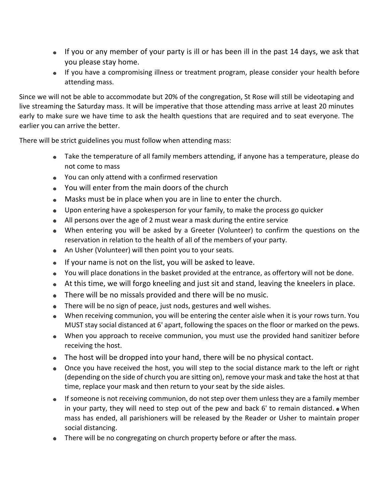- If you or any member of your party is ill or has been ill in the past 14 days, we ask that you please stay home.
- If you have a compromising illness or treatment program, please consider your health before attending mass.

Since we will not be able to accommodate but 20% of the congregation, St Rose will still be videotaping and live streaming the Saturday mass. It will be imperative that those attending mass arrive at least 20 minutes early to make sure we have time to ask the health questions that are required and to seat everyone. The earlier you can arrive the better.

There will be strict guidelines you must follow when attending mass:

- Take the temperature of all family members attending, if anyone has a temperature, please do not come to mass
- You can only attend with a confirmed reservation
- You will enter from the main doors of the church
- Masks must be in place when you are in line to enter the church.
- Upon entering have a spokesperson for your family, to make the process go quicker
- All persons over the age of 2 must wear a mask during the entire service
- When entering you will be asked by a Greeter (Volunteer) to confirm the questions on the reservation in relation to the health of all of the members of your party.
- An Usher (Volunteer) will then point you to your seats.
- If your name is not on the list, you will be asked to leave.
- You will place donations in the basket provided at the entrance, as offertory will not be done.
- At this time, we will forgo kneeling and just sit and stand, leaving the kneelers in place.
- There will be no missals provided and there will be no music.
- There will be no sign of peace, just nods, gestures and well wishes.
- When receiving communion, you will be entering the center aisle when it is your rows turn. You MUST stay social distanced at 6' apart, following the spaces on the floor or marked on the pews.
- When you approach to receive communion, you must use the provided hand sanitizer before receiving the host.
- The host will be dropped into your hand, there will be no physical contact.
- Once you have received the host, you will step to the social distance mark to the left or right (depending on the side of church you are sitting on), remove your mask and take the host at that time, replace your mask and then return to your seat by the side aisles.
- **If someone is not receiving communion, do not step over them unless they are a family member** in your party, they will need to step out of the pew and back  $6'$  to remain distanced.  $\bullet$  When mass has ended, all parishioners will be released by the Reader or Usher to maintain proper social distancing.
- There will be no congregating on church property before or after the mass.